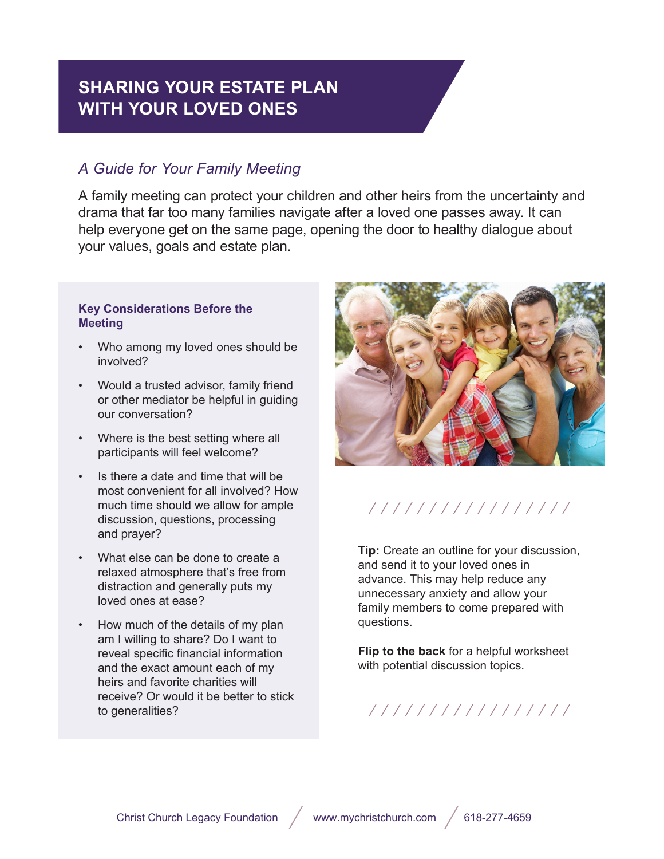## **SHARING YOUR ESTATE PLAN WITH YOUR LOVED ONES**

## *A Guide for Your Family Meeting*

A family meeting can protect your children and other heirs from the uncertainty and drama that far too many families navigate after a loved one passes away. It can help everyone get on the same page, opening the door to healthy dialogue about your values, goals and estate plan.

## **Key Considerations Before the Meeting**

- Who among my loved ones should be involved?
- Would a trusted advisor, family friend or other mediator be helpful in guiding our conversation?
- Where is the best setting where all participants will feel welcome?
- Is there a date and time that will be most convenient for all involved? How much time should we allow for ample discussion, questions, processing and prayer?
- What else can be done to create a relaxed atmosphere that's free from distraction and generally puts my loved ones at ease?
- How much of the details of my plan am I willing to share? Do I want to reveal specific financial information and the exact amount each of my heirs and favorite charities will receive? Or would it be better to stick to generalities?



/////////////////

**Tip:** Create an outline for your discussion, and send it to your loved ones in advance. This may help reduce any unnecessary anxiety and allow your family members to come prepared with questions.

**Flip to the back** for a helpful worksheet with potential discussion topics.